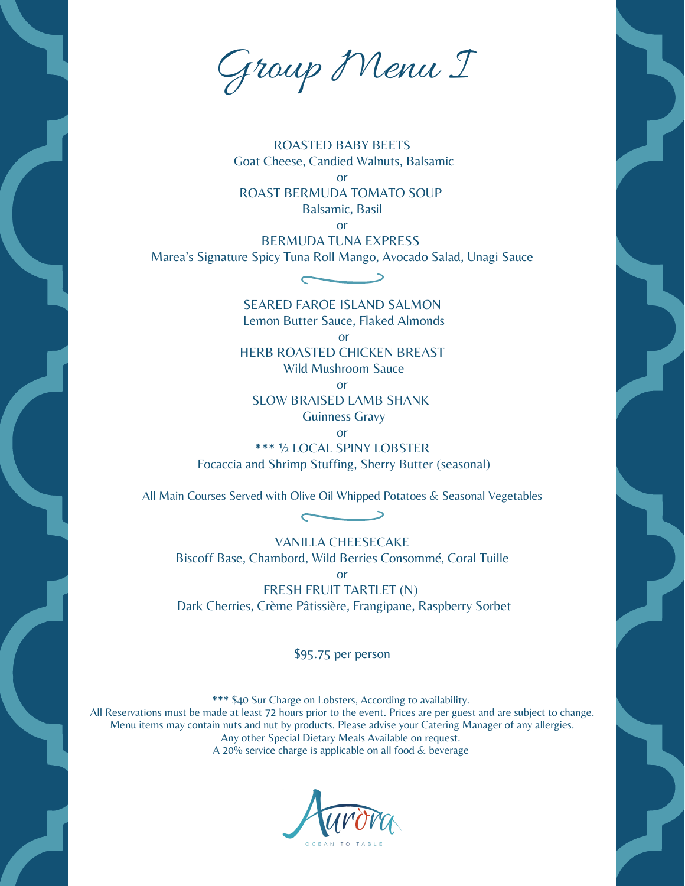Group Menu I

ROASTED BABY BEETS Goat Cheese, Candied Walnuts, Balsamic

or ROAST BERMUDA TOMATO SOUP Balsamic, Basil

or

BERMUDA TUNA EXPRESS

Marea's Signature Spicy Tuna Roll Mango, Avocado Salad, Unagi Sauce  $\overline{\phantom{0}}$ 

> SEARED FAROE ISLAND SALMON Lemon Butter Sauce, Flaked Almonds

> > or

HERB ROASTED CHICKEN BREAST

Wild Mushroom Sauce

or

SLOW BRAISED LAMB SHANK

Guinness Gravy

or

\*\*\* ½ LOCAL SPINY LOBSTER Focaccia and Shrimp Stuffing, Sherry Butter (seasonal)

All Main Courses Served with Olive Oil Whipped Potatoes & Seasonal Vegetables

 $\overline{\phantom{0}}$ 

VANILLA CHEESECAKE Biscoff Base, Chambord, Wild Berries Consommé, Coral Tuille or FRESH FRUIT TARTLET (N) Dark Cherries, Crème Pâtissière, Frangipane, Raspberry Sorbet

\$95.75 per person

\*\*\* \$40 Sur Charge on Lobsters, According to availability.

All Reservations must be made at least 72 hours prior to the event. Prices are per guest and are subject to change. Menu items may contain nuts and nut by products. Please advise your Catering Manager of any allergies. Any other Special Dietary Meals Available on request. A 20% service charge is applicable on all food  $&$  beverage

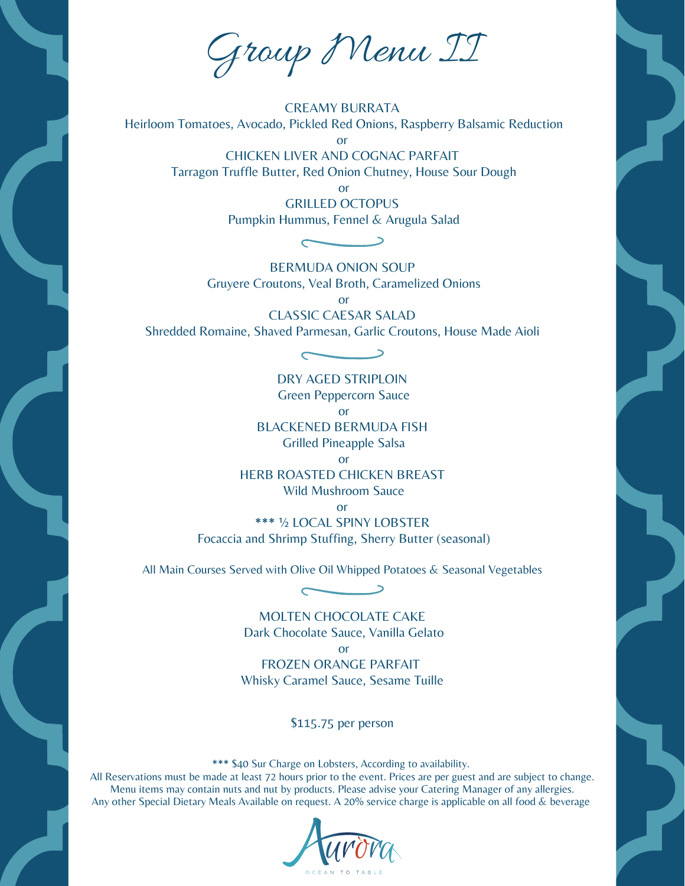Group Menu II

CREAMY BURRATA Heirloom Tomatoes, Avocado, Pickled Red Onions, Raspberry Balsamic Reduction or

> CHICKEN LIVER AND COGNAC PARFAIT Tarragon Truffle Butter, Red Onion Chutney, House Sour Dough

> > or

GRILLED OCTOPUS Pumpkin Hummus, Fennel & Arugula Salad

 $\overline{\phantom{0}}$ BERMUDA ONION SOUP

Gruyere Croutons, Veal Broth, Caramelized Onions

or

CLASSIC CAESAR SALAD Shredded Romaine, Shaved Parmesan, Garlic Croutons, House Made Aioli

 $\overline{\phantom{a}}$ 

DRY AGED STRIPLOIN Green Peppercorn Sauce or BLACKENED BERMUDA FISH Grilled Pineapple Salsa or HERB ROASTED CHICKEN BREAST Wild Mushroom Sauce

or

\*\*\* ½ LOCAL SPINY LOBSTER Focaccia and Shrimp Stuffing, Sherry Butter (seasonal)

All Main Courses Served with Olive Oil Whipped Potatoes & Seasonal Vegetables  $\overline{\phantom{0}}$ 

> MOLTEN CHOCOLATE CAKE Dark Chocolate Sauce, Vanilla Gelato

> > or

FROZEN ORANGE PARFAIT Whisky Caramel Sauce, Sesame Tuille

\$115.75 per person

\*\*\* \$40 Sur Charge on Lobsters, According to availability.

All Reservations must be made at least 72 hours prior to the event. Prices are per guest and are subject to change. Menu items may contain nuts and nut by products. Please advise your Catering Manager of any allergies. Any other Special Dietary Meals Available on request. A 20% service charge is applicable on all food & beverage